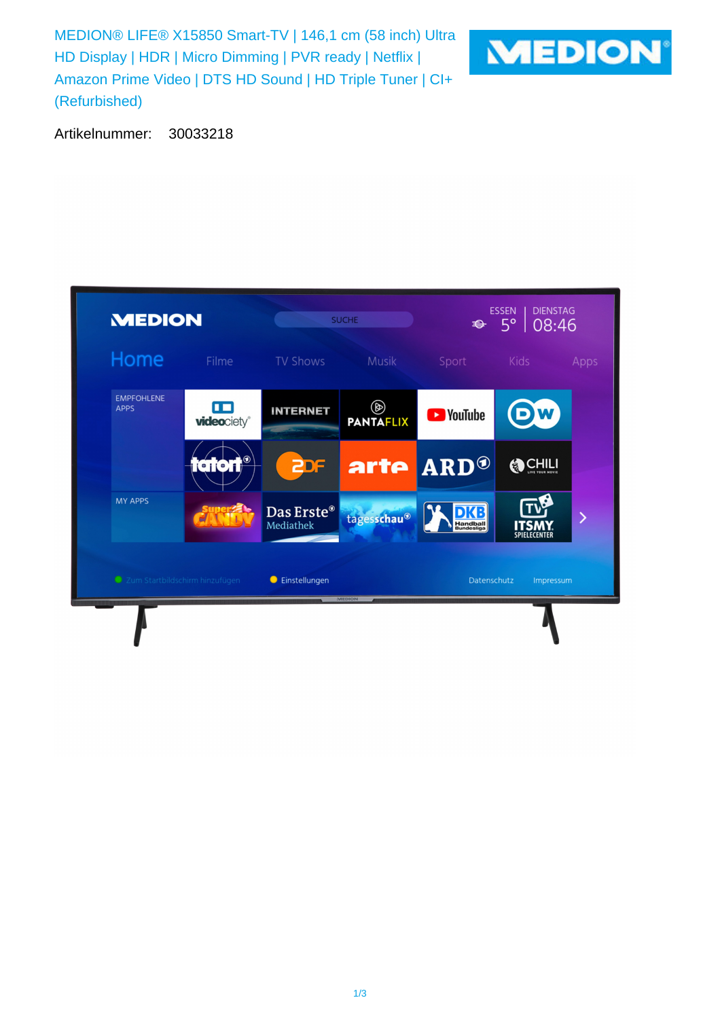MEDION® LIFE® X15850 Smart-TV | 146,1 cm (58 inch) Ultra HD Display | HDR | Micro Dimming | PVR ready | Netflix | Amazon Prime Video | DTS HD Sound | HD Triple Tuner | CI+ (Refurbished)



Artikelnummer: 30033218

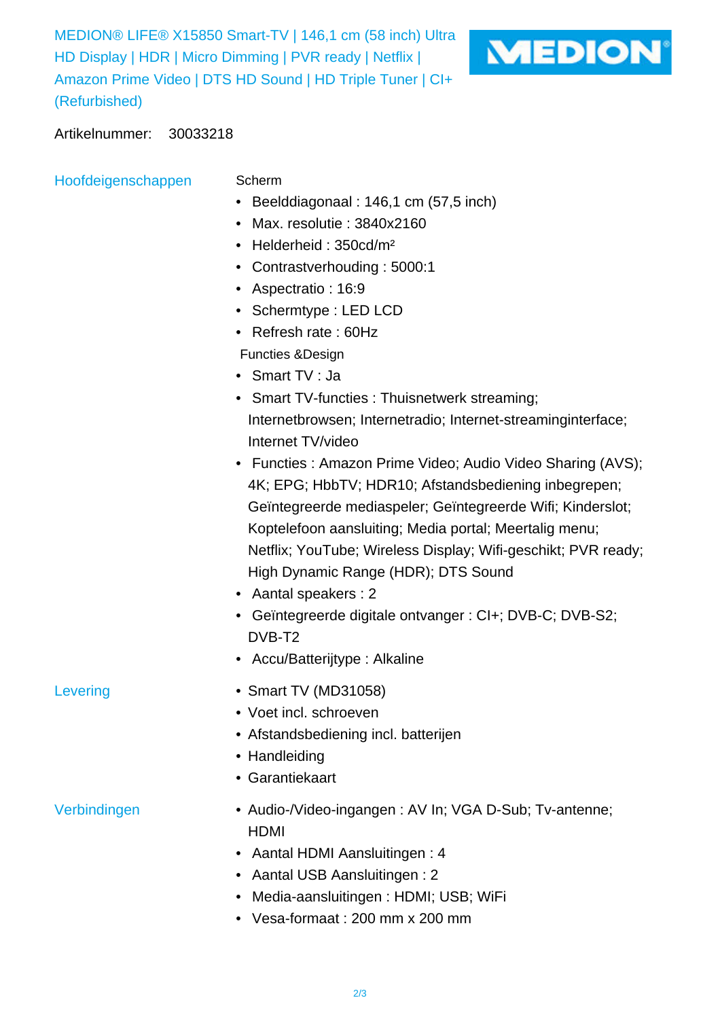MEDION® LIFE® X15850 Smart-TV | 146,1 cm (58 inch) Ultra HD Display | HDR | Micro Dimming | PVR ready | Netflix | Amazon Prime Video | DTS HD Sound | HD Triple Tuner | CI+ (Refurbished)



Artikelnummer: 30033218

Hoofdeigenschappen Scherm

- 
- Beelddiagonaal : 146,1 cm (57,5 inch)
- Max. resolutie : 3840x2160
- Helderheid : 350cd/m²
- Contrastverhouding : 5000:1
- Aspectratio : 16:9
- Schermtype : LED LCD
- Refresh rate : 60Hz
- Functies &Design
- Smart TV : Ja
- Smart TV-functies : Thuisnetwerk streaming; Internetbrowsen; Internetradio; Internet-streaminginterface; Internet TV/video
- Functies : Amazon Prime Video; Audio Video Sharing (AVS); 4K; EPG; HbbTV; HDR10; Afstandsbediening inbegrepen; Geïntegreerde mediaspeler; Geïntegreerde Wifi; Kinderslot; Koptelefoon aansluiting; Media portal; Meertalig menu; Netflix; YouTube; Wireless Display; Wifi-geschikt; PVR ready; High Dynamic Range (HDR); DTS Sound
- Aantal speakers : 2
- Geïntegreerde digitale ontvanger : CI+; DVB-C; DVB-S2; DVB-T2
- Accu/Batterijtype : Alkaline
- Levering Smart TV (MD31058)
	- Voet incl. schroeven
	- Afstandsbediening incl. batterijen
	- Handleiding
	- Garantiekaart

- Verbindingen  **Audio-/Video-ingangen : AV In; VGA D-Sub**; Tv-antenne; HDMI
	- Aantal HDMI Aansluitingen : 4
	- Aantal USB Aansluitingen : 2
	- Media-aansluitingen : HDMI; USB; WiFi
	- Vesa-formaat : 200 mm x 200 mm